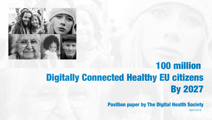

# 100 million Digitally Connected Healthy EU citizens By 2027

Position paper by The Digital Health Society

April 2018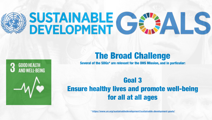# SUSTAINABLE C



#### The Broad Challenge

Several of the SDGs\* are relevant for the DHS Mission, and in particular:

#### Goal 3 Ensure healthy lives and promote well-being for all at all ages

*\*<https://www.un.org/sustainabledevelopment/sustainable-development-goals/>*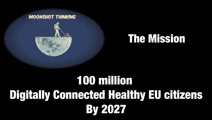

# The Mission

# 100 million Digitally Connected Healthy EU citizens **By 2027**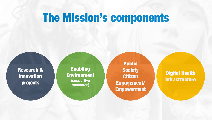# The Mission's components

Research & Innovation projects

**Enabling** Environment **(supportive measures)**

Public **Society** Citizen Engagement/ Empowerment

Digital Health **Infrastructure**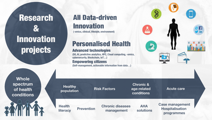## Research & **Innovation** projects

**Whole spectrum of health conditions**

#### All Data-driven Innovation

**(-omics, clinical, lifestyle, environment)**

#### Personalised Health

#### Advanced technologies

**literacy Prevention Chronic diseases**<br>**management** 

**Health** 

**(5G, AI, predictive analytics, HPC, Cloud computing, -omics, cybersecurity, Blockchain, IoT…)** Empowering citizens **(Self-management, actionable information from data…)**

**Chronic & age-related conditions Risk Factors**<br>**Propulation**<br>**Risk Factors population**<br>**Population**<br>**Population**<br>**Population**<br>**Population** 

**management**

**AHA** 

**solutions**

**Case management Hospitalisation programmes**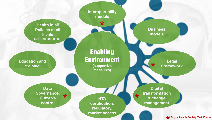

\* Digital Health Society Task Forces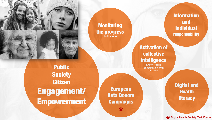

Public **Society** Citizen Engagement/ Empowerment

European Data Donors **Campaigns** 

\*

**Monitoring** 

the progress **(indicators)**

Information and Individual responsability

Activation of collective intelligence

**(Open Public consultation with citizens)**

> Digital and **Health literacy**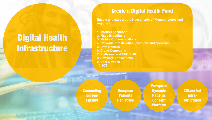## Digital Health **Infrastructure**

#### Create a Digital Health Fund

**Enable and support the investments of Member states and regions in:**

- **1. Internet backbone**
- **2. Fixed Broadband**
- **3. Mobile Communications**
- **4. Network infrastructure ( wireless and spectrum )**
- **5. Data Centres**
- **6. Cloud Computing**
- **7. Platforms and EHR/PHR**
- **8. Software Applications**
- **9. User Devices**
- **10. IOT**

**Connecting** Europe **Facility** 

European **Patients Registries**  European **Dynamic Patients** Consent Platform

Citizen-led infrastructures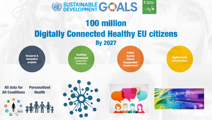

### 100 million Digitally Connected Healthy EU citizens By 2027

Research & Innovation projects

Enabling **Environment (supportive measures)**

Public **Society** Citizen Engagement/ Empowerment

Digital Health **Infrastructure** 

All data for All Conditions Personalised Health